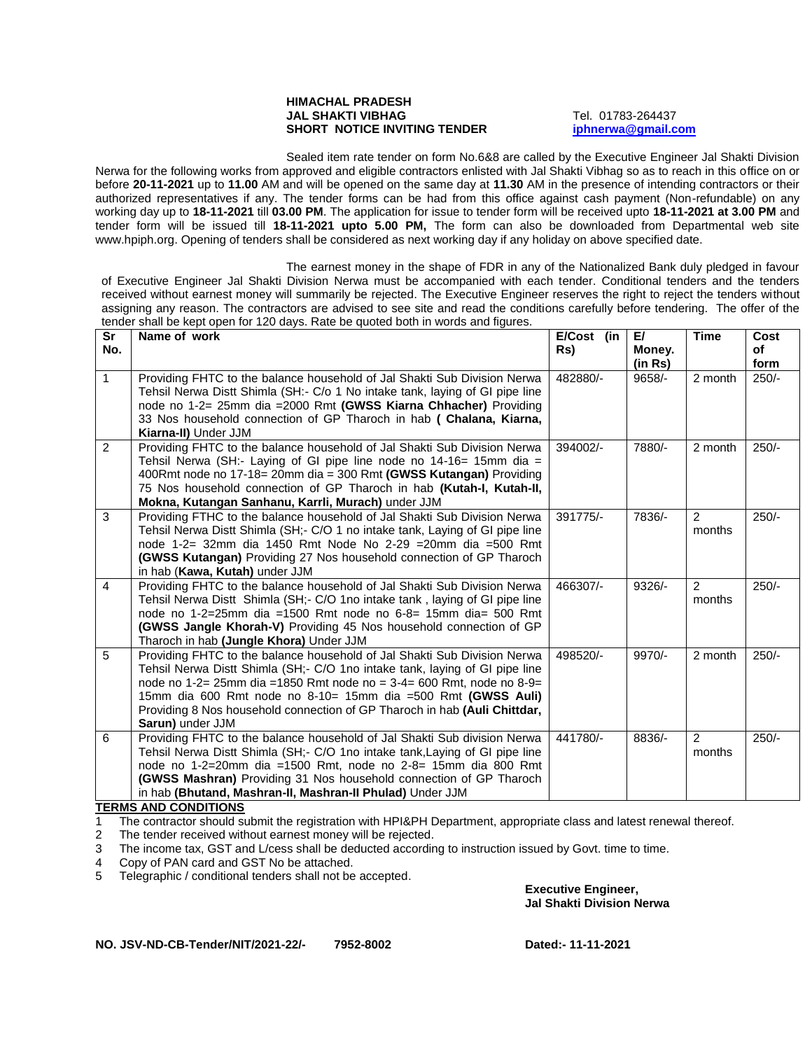## **HIMACHAL PRADESH JAL SHAKTI VIBHAG** Tel. 01783-264437 **SHORT NOTICE INVITING TENDER [iphnerwa@gmail.com](mailto:iphnerwa@gmail.com)**

Sealed item rate tender on form No.6&8 are called by the Executive Engineer Jal Shakti Division Nerwa for the following works from approved and eligible contractors enlisted with Jal Shakti Vibhag so as to reach in this office on or before **20-11-2021** up to **11.00** AM and will be opened on the same day at **11.30** AM in the presence of intending contractors or their authorized representatives if any. The tender forms can be had from this office against cash payment (Non-refundable) on any working day up to **18-11-2021** till **03.00 PM**. The application for issue to tender form will be received upto **18-11-2021 at 3.00 PM** and tender form will be issued till **18-11-2021 upto 5.00 PM,** The form can also be downloaded from Departmental web site www.hpiph.org. Opening of tenders shall be considered as next working day if any holiday on above specified date.

The earnest money in the shape of FDR in any of the Nationalized Bank duly pledged in favour of Executive Engineer Jal Shakti Division Nerwa must be accompanied with each tender. Conditional tenders and the tenders received without earnest money will summarily be rejected. The Executive Engineer reserves the right to reject the tenders without assigning any reason. The contractors are advised to see site and read the conditions carefully before tendering. The offer of the tender shall be kept open for 120 days. Rate be quoted both in words and figures.

| Sr<br>No.      | tonaor onan bo Ropt open for h±o aayor ridto bo quotoa both in morao and ngaroo.<br>Name of work                                                                                                                                                                                                                                                                                                 | $E/Cost$ (in<br>Rs) | E/<br>Money.<br>(in Rs) | <b>Time</b>              | Cost<br>οf<br>form |
|----------------|--------------------------------------------------------------------------------------------------------------------------------------------------------------------------------------------------------------------------------------------------------------------------------------------------------------------------------------------------------------------------------------------------|---------------------|-------------------------|--------------------------|--------------------|
| $\mathbf{1}$   | Providing FHTC to the balance household of Jal Shakti Sub Division Nerwa<br>Tehsil Nerwa Distt Shimla (SH:- C/o 1 No intake tank, laying of GI pipe line<br>node no 1-2= 25mm dia = 2000 Rmt (GWSS Kiarna Chhacher) Providing<br>33 Nos household connection of GP Tharoch in hab ( Chalana, Kiarna,<br>Kiarna-II) Under JJM                                                                     | 482880/-            | $9658/-$                | 2 month                  | $250/-$            |
| $\overline{2}$ | Providing FHTC to the balance household of Jal Shakti Sub Division Nerwa<br>Tehsil Nerwa (SH:- Laying of GI pipe line node no 14-16= 15mm dia =<br>400Rmt node no 17-18= 20mm dia = 300 Rmt (GWSS Kutangan) Providing<br>75 Nos household connection of GP Tharoch in hab (Kutah-I, Kutah-II,<br>Mokna, Kutangan Sanhanu, Karrli, Murach) under JJM                                              | 394002/-            | 7880/-                  | 2 month                  | $250/-$            |
| 3              | Providing FTHC to the balance household of Jal Shakti Sub Division Nerwa<br>Tehsil Nerwa Distt Shimla (SH; - C/O 1 no intake tank, Laying of GI pipe line<br>node 1-2= 32mm dia 1450 Rmt Node No 2-29 = 20mm dia = 500 Rmt<br><b>(GWSS Kutangan)</b> Providing 27 Nos household connection of GP Tharoch<br>in hab (Kawa, Kutah) under JJM                                                       | 391775/-            | 7836/-                  | $\overline{2}$<br>months | $250/-$            |
| $\overline{4}$ | Providing FHTC to the balance household of Jal Shakti Sub Division Nerwa<br>Tehsil Nerwa Distt Shimla (SH;- C/O 1 no intake tank, laying of GI pipe line<br>node no 1-2=25mm dia =1500 Rmt node no 6-8= 15mm dia= 500 Rmt<br>(GWSS Jangle Khorah-V) Providing 45 Nos household connection of GP<br>Tharoch in hab (Jungle Khora) Under JJM                                                       | 466307/-            | $9326/-$                | $\mathcal{P}$<br>months  | $250/-$            |
| 5              | Providing FHTC to the balance household of Jal Shakti Sub Division Nerwa<br>Tehsil Nerwa Distt Shimla (SH;- C/O 1no intake tank, laying of GI pipe line<br>node no 1-2= 25mm dia =1850 Rmt node no = 3-4= 600 Rmt, node no 8-9=<br>15mm dia 600 Rmt node no 8-10= 15mm dia =500 Rmt (GWSS Auli)<br>Providing 8 Nos household connection of GP Tharoch in hab (Auli Chittdar,<br>Sarun) under JJM | 498520/-            | 9970/-                  | 2 month                  | $250/-$            |
| 6              | Providing FHTC to the balance household of Jal Shakti Sub division Nerwa<br>Tehsil Nerwa Distt Shimla (SH;- C/O 1no intake tank, Laying of GI pipe line<br>node no 1-2=20mm dia =1500 Rmt, node no 2-8= 15mm dia 800 Rmt<br><b>(GWSS Mashran)</b> Providing 31 Nos household connection of GP Tharoch<br>in hab (Bhutand, Mashran-II, Mashran-II Phulad) Under JJM                               | 441780/-            | 8836/-                  | $\mathcal{P}$<br>months  | $250/-$            |

## **TERMS AND CONDITIONS**

1 The contractor should submit the registration with HPI&PH Department, appropriate class and latest renewal thereof.

2 The tender received without earnest money will be rejected.

3 The income tax, GST and L/cess shall be deducted according to instruction issued by Govt. time to time.

4 Copy of PAN card and GST No be attached.

5 Telegraphic / conditional tenders shall not be accepted.

**Executive Engineer, Jal Shakti Division Nerwa**